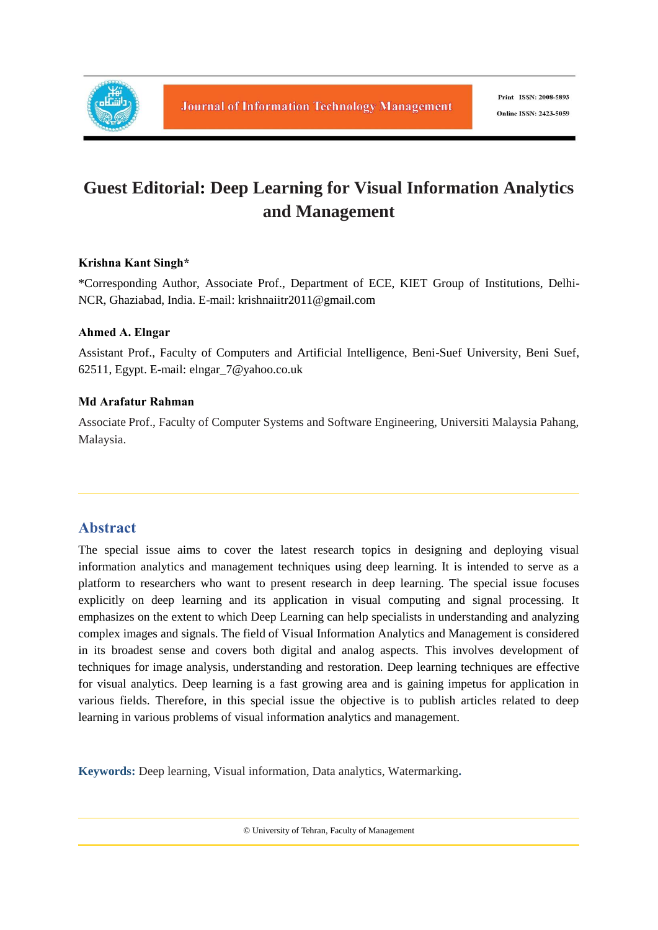

# **Guest Editorial: Deep Learning for Visual Information Analytics and Management**

#### **Krishna Kant Singh\***

\*Corresponding Author, Associate Prof., Department of ECE, KIET Group of Institutions, Delhi-NCR, Ghaziabad, India. E-mail: krishnaiitr2011@gmail.com

#### **Ahmed A. Elngar**

Assistant Prof., Faculty of Computers and Artificial Intelligence, Beni-Suef University, Beni Suef, 62511, Egypt. E-mail: elngar\_7@yahoo.co.uk

#### **Md Arafatur Rahman**

Associate Prof., Faculty of Computer Systems and Software Engineering, Universiti Malaysia Pahang, Malaysia.

## **Abstract**

The special issue aims to cover the latest research topics in designing and deploying visual information analytics and management techniques using deep learning. It is intended to serve as a platform to researchers who want to present research in deep learning. The special issue focuses explicitly on deep learning and its application in visual computing and signal processing. It emphasizes on the extent to which Deep Learning can help specialists in understanding and analyzing complex images and signals. The field of Visual Information Analytics and Management is considered in its broadest sense and covers both digital and analog aspects. This involves development of techniques for image analysis, understanding and restoration. Deep learning techniques are effective for visual analytics. Deep learning is a fast growing area and is gaining impetus for application in various fields. Therefore, in this special issue the objective is to publish articles related to deep learning in various problems of visual information analytics and management.

**Keywords:** Deep learning, Visual information, Data analytics, Watermarking**.**

© University of Tehran, Faculty of Management